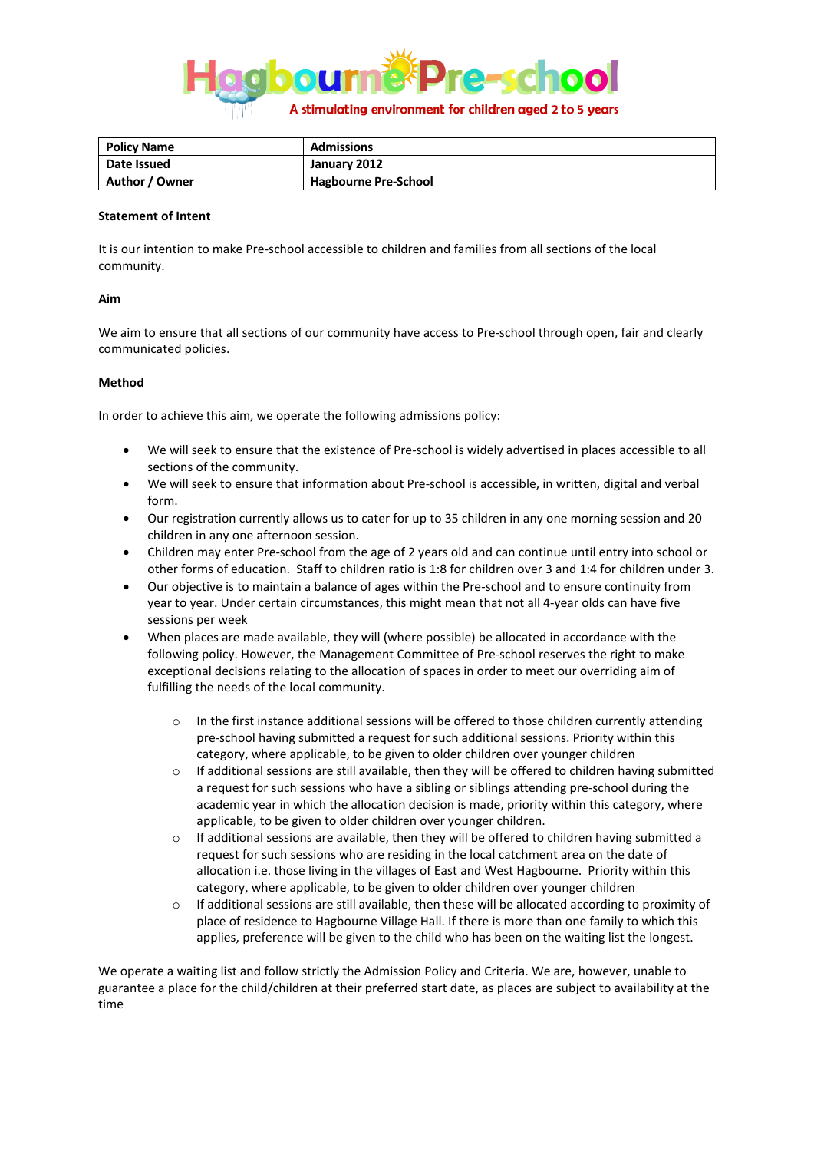

| Policy Name    | <b>Admissions</b>           |
|----------------|-----------------------------|
| Date Issued    | January 2012                |
| Author / Owner | <b>Hagbourne Pre-School</b> |

## **Statement of Intent**

It is our intention to make Pre-school accessible to children and families from all sections of the local community.

## **Aim**

We aim to ensure that all sections of our community have access to Pre-school through open, fair and clearly communicated policies.

## **Method**

In order to achieve this aim, we operate the following admissions policy:

- We will seek to ensure that the existence of Pre-school is widely advertised in places accessible to all sections of the community.
- We will seek to ensure that information about Pre-school is accessible, in written, digital and verbal form.
- Our registration currently allows us to cater for up to 35 children in any one morning session and 20 children in any one afternoon session.
- Children may enter Pre-school from the age of 2 years old and can continue until entry into school or other forms of education. Staff to children ratio is 1:8 for children over 3 and 1:4 for children under 3.
- Our objective is to maintain a balance of ages within the Pre-school and to ensure continuity from year to year. Under certain circumstances, this might mean that not all 4-year olds can have five sessions per week
- When places are made available, they will (where possible) be allocated in accordance with the following policy. However, the Management Committee of Pre-school reserves the right to make exceptional decisions relating to the allocation of spaces in order to meet our overriding aim of fulfilling the needs of the local community.
	- o In the first instance additional sessions will be offered to those children currently attending pre-school having submitted a request for such additional sessions. Priority within this category, where applicable, to be given to older children over younger children
	- $\circ$  If additional sessions are still available, then they will be offered to children having submitted a request for such sessions who have a sibling or siblings attending pre-school during the academic year in which the allocation decision is made, priority within this category, where applicable, to be given to older children over younger children.
	- o If additional sessions are available, then they will be offered to children having submitted a request for such sessions who are residing in the local catchment area on the date of allocation i.e. those living in the villages of East and West Hagbourne. Priority within this category, where applicable, to be given to older children over younger children
	- o If additional sessions are still available, then these will be allocated according to proximity of place of residence to Hagbourne Village Hall. If there is more than one family to which this applies, preference will be given to the child who has been on the waiting list the longest.

We operate a waiting list and follow strictly the Admission Policy and Criteria. We are, however, unable to guarantee a place for the child/children at their preferred start date, as places are subject to availability at the time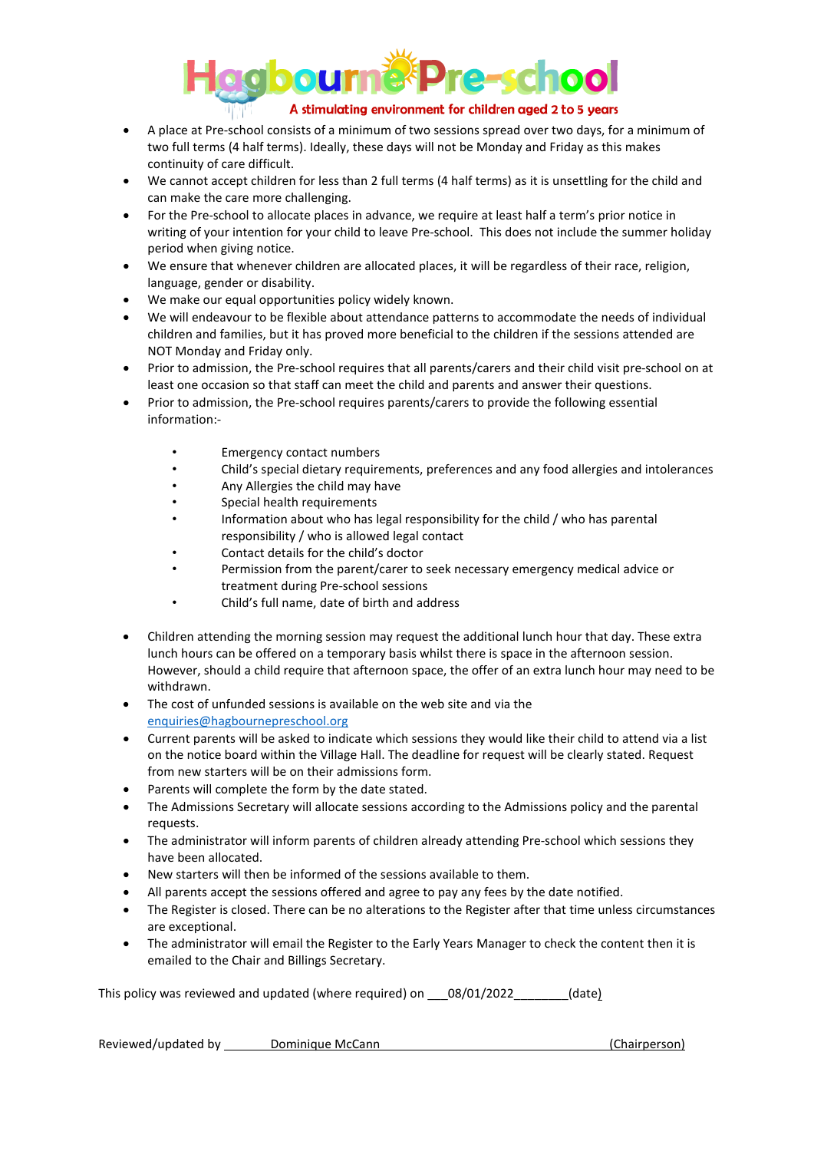

- A place at Pre-school consists of a minimum of two sessions spread over two days, for a minimum of two full terms (4 half terms). Ideally, these days will not be Monday and Friday as this makes continuity of care difficult.
- We cannot accept children for less than 2 full terms (4 half terms) as it is unsettling for the child and can make the care more challenging.
- For the Pre-school to allocate places in advance, we require at least half a term's prior notice in writing of your intention for your child to leave Pre-school. This does not include the summer holiday period when giving notice.
- We ensure that whenever children are allocated places, it will be regardless of their race, religion, language, gender or disability.
- We make our equal opportunities policy widely known.
- We will endeavour to be flexible about attendance patterns to accommodate the needs of individual children and families, but it has proved more beneficial to the children if the sessions attended are NOT Monday and Friday only.
- Prior to admission, the Pre-school requires that all parents/carers and their child visit pre-school on at least one occasion so that staff can meet the child and parents and answer their questions.
- Prior to admission, the Pre-school requires parents/carers to provide the following essential information:-
	- Emergency contact numbers
	- Child's special dietary requirements, preferences and any food allergies and intolerances
	- Any Allergies the child may have
	- Special health requirements
	- Information about who has legal responsibility for the child / who has parental responsibility / who is allowed legal contact
	- Contact details for the child's doctor
	- Permission from the parent/carer to seek necessary emergency medical advice or treatment during Pre-school sessions
	- Child's full name, date of birth and address
- Children attending the morning session may request the additional lunch hour that day. These extra lunch hours can be offered on a temporary basis whilst there is space in the afternoon session. However, should a child require that afternoon space, the offer of an extra lunch hour may need to be withdrawn.
- The cost of unfunded sessions is available on the web site and via the [enquiries@hagbournepreschool.org](mailto:enquiries@hagbournepreschool.org)
- Current parents will be asked to indicate which sessions they would like their child to attend via a list on the notice board within the Village Hall. The deadline for request will be clearly stated. Request from new starters will be on their admissions form.
- Parents will complete the form by the date stated.
- The Admissions Secretary will allocate sessions according to the Admissions policy and the parental requests.
- The administrator will inform parents of children already attending Pre-school which sessions they have been allocated.
- New starters will then be informed of the sessions available to them.
- All parents accept the sessions offered and agree to pay any fees by the date notified.
- The Register is closed. There can be no alterations to the Register after that time unless circumstances are exceptional.
- The administrator will email the Register to the Early Years Manager to check the content then it is emailed to the Chair and Billings Secretary.

This policy was reviewed and updated (where required) on \_\_\_08/01/2022\_\_\_\_\_\_\_\_(date)

Reviewed/updated by Dominique McCann (Chairperson)